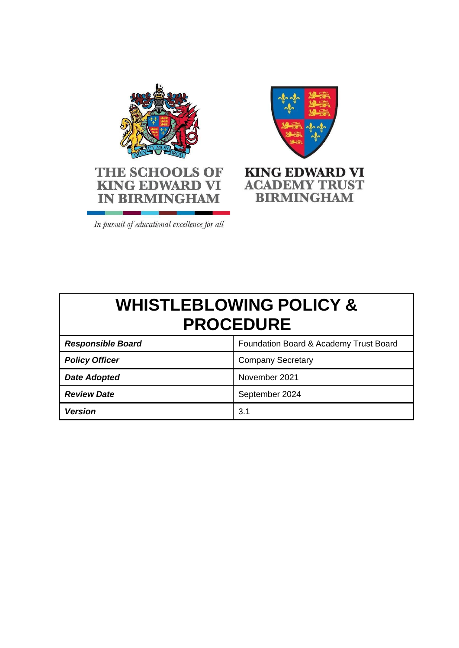



**BIRMINGHAM** 

In pursuit of educational excellence for all

**IN BIRMINGHAM** 

# **WHISTLEBLOWING POLICY & PROCEDURE**

| <b>Responsible Board</b> | Foundation Board & Academy Trust Board |
|--------------------------|----------------------------------------|
| <b>Policy Officer</b>    | <b>Company Secretary</b>               |
| <b>Date Adopted</b>      | November 2021                          |
| <b>Review Date</b>       | September 2024                         |
| <b>Version</b>           | 3.1                                    |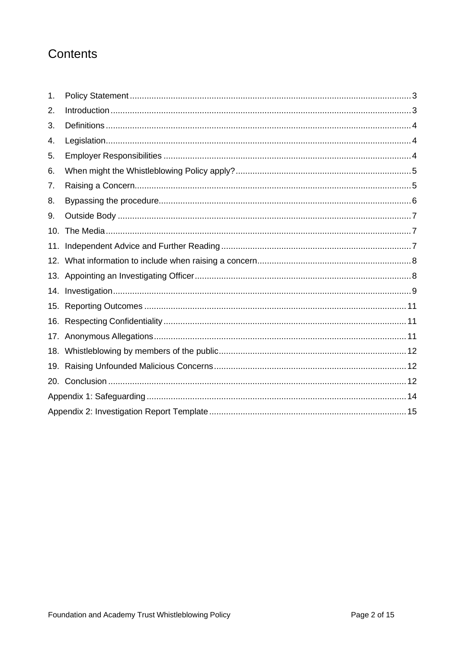## Contents

| 1.  |  |  |  |
|-----|--|--|--|
| 2.  |  |  |  |
| 3.  |  |  |  |
| 4.  |  |  |  |
| 5.  |  |  |  |
| 6.  |  |  |  |
| 7.  |  |  |  |
| 8.  |  |  |  |
| 9.  |  |  |  |
| 10. |  |  |  |
| 11. |  |  |  |
|     |  |  |  |
|     |  |  |  |
|     |  |  |  |
|     |  |  |  |
| 16. |  |  |  |
|     |  |  |  |
|     |  |  |  |
| 19. |  |  |  |
| 20. |  |  |  |
|     |  |  |  |
|     |  |  |  |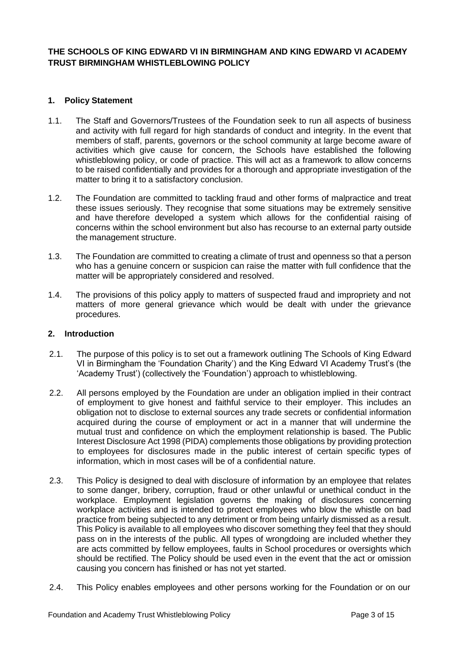#### **THE SCHOOLS OF KING EDWARD VI IN BIRMINGHAM AND KING EDWARD VI ACADEMY TRUST BIRMINGHAM WHISTLEBLOWING POLICY**

#### <span id="page-2-0"></span>**1. Policy Statement**

- 1.1. The Staff and Governors/Trustees of the Foundation seek to run all aspects of business and activity with full regard for high standards of conduct and integrity. In the event that members of staff, parents, governors or the school community at large become aware of activities which give cause for concern, the Schools have established the following whistleblowing policy, or code of practice. This will act as a framework to allow concerns to be raised confidentially and provides for a thorough and appropriate investigation of the matter to bring it to a satisfactory conclusion.
- 1.2. The Foundation are committed to tackling fraud and other forms of malpractice and treat these issues seriously. They recognise that some situations may be extremely sensitive and have therefore developed a system which allows for the confidential raising of concerns within the school environment but also has recourse to an external party outside the management structure.
- 1.3. The Foundation are committed to creating a climate of trust and openness so that a person who has a genuine concern or suspicion can raise the matter with full confidence that the matter will be appropriately considered and resolved.
- 1.4. The provisions of this policy apply to matters of suspected fraud and impropriety and not matters of more general grievance which would be dealt with under the grievance procedures.

#### <span id="page-2-1"></span>**2. Introduction**

- 2.1. The purpose of this policy is to set out a framework outlining The Schools of King Edward VI in Birmingham the 'Foundation Charity') and the King Edward VI Academy Trust's (the 'Academy Trust') (collectively the 'Foundation') approach to whistleblowing.
- 2.2. All persons employed by the Foundation are under an obligation implied in their contract of employment to give honest and faithful service to their employer. This includes an obligation not to disclose to external sources any trade secrets or confidential information acquired during the course of employment or act in a manner that will undermine the mutual trust and confidence on which the employment relationship is based. The Public Interest Disclosure Act 1998 (PIDA) complements those obligations by providing protection to employees for disclosures made in the public interest of certain specific types of information, which in most cases will be of a confidential nature.
- 2.3. This Policy is designed to deal with disclosure of information by an employee that relates to some danger, bribery, corruption, fraud or other unlawful or unethical conduct in the workplace. Employment legislation governs the making of disclosures concerning workplace activities and is intended to protect employees who blow the whistle on bad practice from being subjected to any detriment or from being unfairly dismissed as a result. This Policy is available to all employees who discover something they feel that they should pass on in the interests of the public. All types of wrongdoing are included whether they are acts committed by fellow employees, faults in School procedures or oversights which should be rectified. The Policy should be used even in the event that the act or omission causing you concern has finished or has not yet started.
- 2.4. This Policy enables employees and other persons working for the Foundation or on our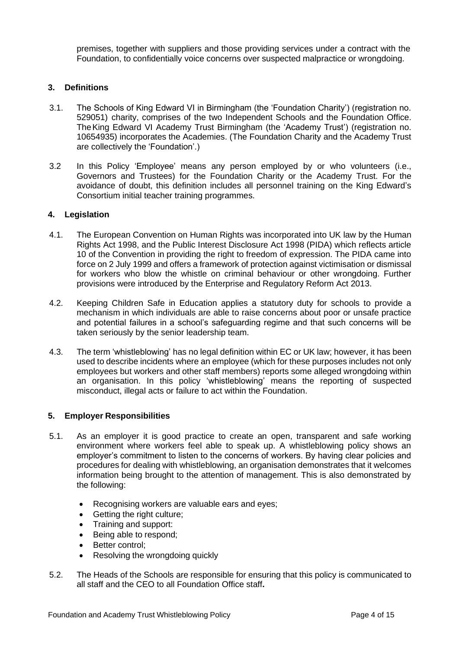premises, together with suppliers and those providing services under a contract with the Foundation, to confidentially voice concerns over suspected malpractice or wrongdoing.

#### <span id="page-3-0"></span>**3. Definitions**

- 3.1. The Schools of King Edward VI in Birmingham (the 'Foundation Charity') (registration no. 529051) charity, comprises of the two Independent Schools and the Foundation Office. TheKing Edward VI Academy Trust Birmingham (the 'Academy Trust') (registration no. 10654935) incorporates the Academies. (The Foundation Charity and the Academy Trust are collectively the 'Foundation'.)
- 3.2 In this Policy 'Employee' means any person employed by or who volunteers (i.e., Governors and Trustees) for the Foundation Charity or the Academy Trust. For the avoidance of doubt, this definition includes all personnel training on the King Edward's Consortium initial teacher training programmes.

#### <span id="page-3-1"></span>**4. Legislation**

- 4.1. The European Convention on Human Rights was incorporated into UK law by the Human Rights Act 1998, and the Public Interest Disclosure Act 1998 (PIDA) which reflects article 10 of the Convention in providing the right to freedom of expression. The PIDA came into force on 2 July 1999 and offers a framework of protection against victimisation or dismissal for workers who blow the whistle on criminal behaviour or other wrongdoing. Further provisions were introduced by the Enterprise and Regulatory Reform Act 2013.
- 4.2. Keeping Children Safe in Education applies a statutory duty for schools to provide a mechanism in which individuals are able to raise concerns about poor or unsafe practice and potential failures in a school's safeguarding regime and that such concerns will be taken seriously by the senior leadership team.
- 4.3. The term 'whistleblowing' has no legal definition within EC or UK law; however, it has been used to describe incidents where an employee (which for these purposes includes not only employees but workers and other staff members) reports some alleged wrongdoing within an organisation. In this policy 'whistleblowing' means the reporting of suspected misconduct, illegal acts or failure to act within the Foundation.

#### <span id="page-3-2"></span>**5. Employer Responsibilities**

- 5.1. As an employer it is good practice to create an open, transparent and safe working environment where workers feel able to speak up. A whistleblowing policy shows an employer's commitment to listen to the concerns of workers. By having clear policies and procedures for dealing with whistleblowing, an organisation demonstrates that it welcomes information being brought to the attention of management. This is also demonstrated by the following:
	- Recognising workers are valuable ears and eyes;
	- Getting the right culture;
	- Training and support:
	- Being able to respond;
	- Better control:
	- Resolving the wrongdoing quickly
- 5.2. The Heads of the Schools are responsible for ensuring that this policy is communicated to all staff and the CEO to all Foundation Office staff**.**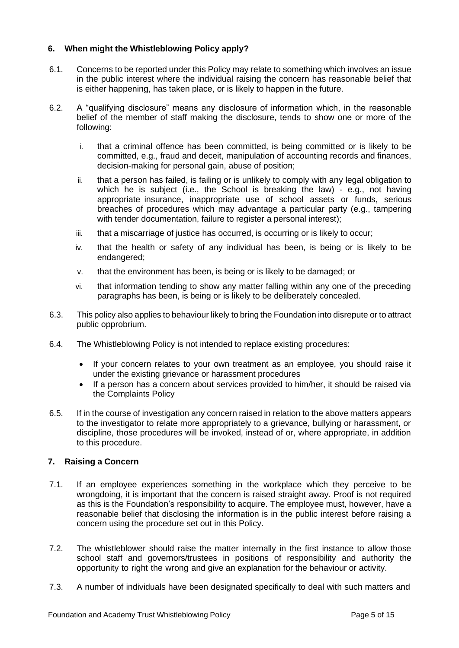#### <span id="page-4-0"></span>**6. When might the Whistleblowing Policy apply?**

- 6.1. Concerns to be reported under this Policy may relate to something which involves an issue in the public interest where the individual raising the concern has reasonable belief that is either happening, has taken place, or is likely to happen in the future.
- 6.2. A "qualifying disclosure" means any disclosure of information which, in the reasonable belief of the member of staff making the disclosure, tends to show one or more of the following:
	- i. that a criminal offence has been committed, is being committed or is likely to be committed, e.g., fraud and deceit, manipulation of accounting records and finances, decision-making for personal gain, abuse of position;
	- ii. that a person has failed, is failing or is unlikely to comply with any legal obligation to which he is subject (i.e., the School is breaking the law) - e.g., not having appropriate insurance, inappropriate use of school assets or funds, serious breaches of procedures which may advantage a particular party (e.g., tampering with tender documentation, failure to register a personal interest);
	- iii. that a miscarriage of justice has occurred, is occurring or is likely to occur;
	- iv. that the health or safety of any individual has been, is being or is likely to be endangered;
	- v. that the environment has been, is being or is likely to be damaged; or
	- vi. that information tending to show any matter falling within any one of the preceding paragraphs has been, is being or is likely to be deliberately concealed.
- 6.3. This policy also applies to behaviour likely to bring the Foundation into disrepute or to attract public opprobrium.
- 6.4. The Whistleblowing Policy is not intended to replace existing procedures:
	- If your concern relates to your own treatment as an employee, you should raise it under the existing grievance or harassment procedures
	- If a person has a concern about services provided to him/her, it should be raised via the Complaints Policy
- 6.5. If in the course of investigation any concern raised in relation to the above matters appears to the investigator to relate more appropriately to a grievance, bullying or harassment, or discipline, those procedures will be invoked, instead of or, where appropriate, in addition to this procedure.

#### <span id="page-4-1"></span>**7. Raising a Concern**

- 7.1. If an employee experiences something in the workplace which they perceive to be wrongdoing, it is important that the concern is raised straight away. Proof is not required as this is the Foundation's responsibility to acquire. The employee must, however, have a reasonable belief that disclosing the information is in the public interest before raising a concern using the procedure set out in this Policy.
- 7.2. The whistleblower should raise the matter internally in the first instance to allow those school staff and governors/trustees in positions of responsibility and authority the opportunity to right the wrong and give an explanation for the behaviour or activity.
- 7.3. A number of individuals have been designated specifically to deal with such matters and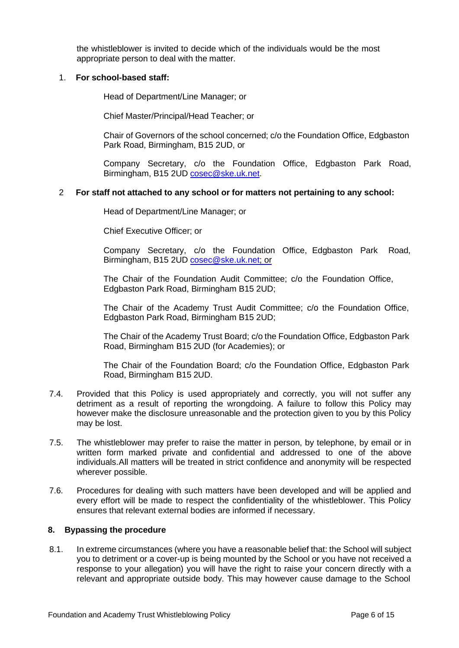the whistleblower is invited to decide which of the individuals would be the most appropriate person to deal with the matter.

#### 1. **For school-based staff:**

Head of Department/Line Manager; or

Chief Master/Principal/Head Teacher; or

Chair of Governors of the school concerned; c/o the Foundation Office, Edgbaston Park Road, Birmingham, B15 2UD, or

Company Secretary, c/o the Foundation Office, Edgbaston Park Road, Birmingham, B15 2UD [cosec@ske.uk.net.](mailto:laura.ganderton@ske.uk.net)

#### 2 **For staff not attached to any school or for matters not pertaining to any school:**

Head of Department/Line Manager; or

Chief Executive Officer; or

Company Secretary, c/o the Foundation Office, Edgbaston Park Road, Birmingham, B15 2UD [cosec@ske.uk.net;](mailto:laura.ganderton@ske.uk.net) or

The Chair of the Foundation Audit Committee; c/o the Foundation Office, Edgbaston Park Road, Birmingham B15 2UD;

The Chair of the Academy Trust Audit Committee; c/o the Foundation Office, Edgbaston Park Road, Birmingham B15 2UD;

The Chair of the Academy Trust Board; c/o the Foundation Office, Edgbaston Park Road, Birmingham B15 2UD (for Academies); or

The Chair of the Foundation Board; c/o the Foundation Office, Edgbaston Park Road, Birmingham B15 2UD.

- 7.4. Provided that this Policy is used appropriately and correctly, you will not suffer any detriment as a result of reporting the wrongdoing. A failure to follow this Policy may however make the disclosure unreasonable and the protection given to you by this Policy may be lost.
- 7.5. The whistleblower may prefer to raise the matter in person, by telephone, by email or in written form marked private and confidential and addressed to one of the above individuals.All matters will be treated in strict confidence and anonymity will be respected wherever possible.
- 7.6. Procedures for dealing with such matters have been developed and will be applied and every effort will be made to respect the confidentiality of the whistleblower. This Policy ensures that relevant external bodies are informed if necessary.

#### <span id="page-5-0"></span>**8. Bypassing the procedure**

8.1. In extreme circumstances (where you have a reasonable belief that: the School will subject you to detriment or a cover-up is being mounted by the School or you have not received a response to your allegation) you will have the right to raise your concern directly with a relevant and appropriate outside body. This may however cause damage to the School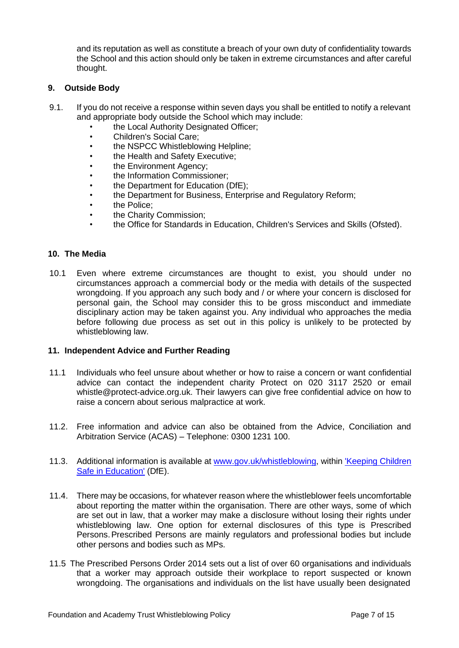and its reputation as well as constitute a breach of your own duty of confidentiality towards the School and this action should only be taken in extreme circumstances and after careful thought.

#### <span id="page-6-0"></span>**9. Outside Body**

- 9.1. If you do not receive a response within seven days you shall be entitled to notify a relevant and appropriate body outside the School which may include:
	- the Local Authority Designated Officer;
	- Children's Social Care;
	- the NSPCC Whistleblowing Helpline;
	- the Health and Safety Executive;
	- the Environment Agency;
	- the Information Commissioner;
	- the Department for Education (DfE);
	- the Department for Business, Enterprise and Regulatory Reform;
	- the Police:
	- the Charity Commission;
	- the Office for Standards in Education, Children's Services and Skills (Ofsted).

#### <span id="page-6-1"></span>**10. The Media**

10.1 Even where extreme circumstances are thought to exist, you should under no circumstances approach a commercial body or the media with details of the suspected wrongdoing. If you approach any such body and / or where your concern is disclosed for personal gain, the School may consider this to be gross misconduct and immediate disciplinary action may be taken against you. Any individual who approaches the media before following due process as set out in this policy is unlikely to be protected by whistleblowing law.

#### <span id="page-6-2"></span>**11. Independent Advice and Further Reading**

- 11.1 Individuals who feel unsure about whether or how to raise a concern or want confidential advice can contact the independent charity Protect on 020 3117 2520 or email [whistle@protect-advice.org.uk. T](mailto:whistle@protect-advice.org.uk)heir lawyers can give free confidential advice on how to raise a concern about serious malpractice at work.
- 11.2. Free information and advice can also be obtained from the Advice, Conciliation and Arbitration Service (ACAS) – Telephone: 0300 1231 100.
- 11.3. Additional information is available at [www.gov.uk/whistleblowing,](http://www.gov.uk/whistleblowing) within ['Keeping](https://www.gov.uk/government/publications/keeping-children-safe-in-education--2) Children Safe [in Education'](https://www.gov.uk/government/publications/keeping-children-safe-in-education--2) (DfE).
- 11.4. There may be occasions, for whatever reason where the whistleblower feels uncomfortable about reporting the matter within the organisation. There are other ways, some of which are set out in law, that a worker may make a disclosure without losing their rights under whistleblowing law. One option for external disclosures of this type is Prescribed Persons. Prescribed Persons are mainly regulators and professional bodies but include other persons and bodies such as MPs.
- 11.5 The Prescribed Persons Order 2014 sets out a list of over 60 organisations and individuals that a worker may approach outside their workplace to report suspected or known wrongdoing. The organisations and individuals on the list have usually been designated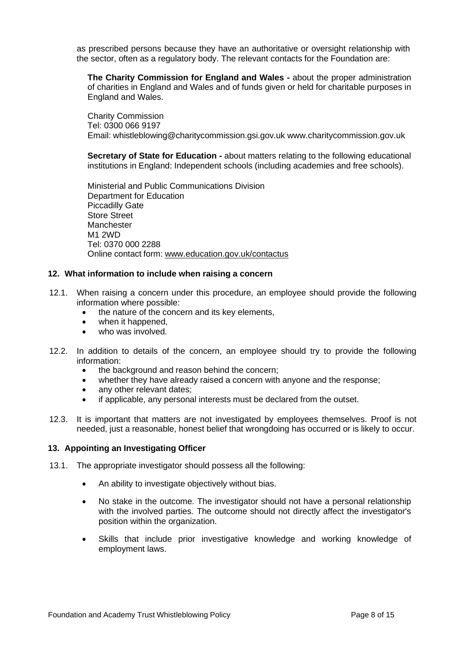as prescribed persons because they have an authoritative or oversight relationship with the sector, often as a regulatory body. The relevant contacts for the Foundation are:

**The Charity Commission for England and Wales -** about the proper administration of charities in England and Wales and of funds given or held for charitable purposes in England and Wales.

Charity Commission Tel: 0300 066 9197 Email: [whistleblowing@charitycommission.gsi.gov.uk](mailto:whistleblowing@charitycommission.gsi.gov.uk) [www.charitycommission.gov.uk](http://www.charitycommission.gov.uk/)

**Secretary of State for Education -** about matters relating to the following educational institutions in England: Independent schools (including academies and free schools).

Ministerial and Public Communications Division Department for Education Piccadilly Gate Store Street Manchester M1 2WD Tel: 0370 000 2288 Online contact form: [www.education.gov.uk/contactus](http://www.education.gov.uk/contactus)

#### <span id="page-7-0"></span>**12. What information to include when raising a concern**

- 12.1. When raising a concern under this procedure, an employee should provide the following information where possible:
	- the nature of the concern and its key elements,
	- when it happened,
	- who was involved.
- 12.2. In addition to details of the concern, an employee should try to provide the following information:
	- the background and reason behind the concern;
	- whether they have already raised a concern with anyone and the response;
	- any other relevant dates;
	- if applicable, any personal interests must be declared from the outset.
- 12.3. It is important that matters are not investigated by employees themselves. Proof is not needed, just a reasonable, honest belief that wrongdoing has occurred or is likely to occur.

#### <span id="page-7-1"></span>**13. Appointing an Investigating Officer**

- 13.1. The appropriate investigator should possess all the following:
	- An ability to investigate objectively without bias.
	- No stake in the outcome. The investigator should not have a personal relationship with the involved parties. The outcome should not directly affect the investigator's position within the organization.
	- Skills that include prior investigative knowledge and working knowledge of employment laws.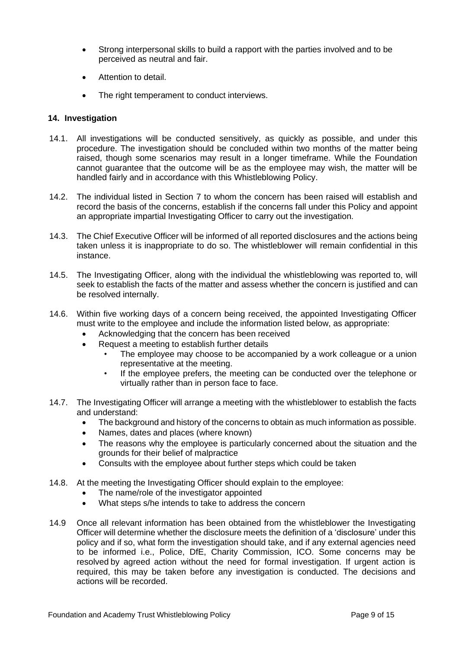- Strong interpersonal skills to build a rapport with the parties involved and to be perceived as neutral and fair.
- Attention to detail.
- The right temperament to conduct interviews.

#### <span id="page-8-0"></span>**14. Investigation**

- 14.1. All investigations will be conducted sensitively, as quickly as possible, and under this procedure. The investigation should be concluded within two months of the matter being raised, though some scenarios may result in a longer timeframe. While the Foundation cannot guarantee that the outcome will be as the employee may wish, the matter will be handled fairly and in accordance with this Whistleblowing Policy.
- 14.2. The individual listed in Section 7 to whom the concern has been raised will establish and record the basis of the concerns, establish if the concerns fall under this Policy and appoint an appropriate impartial Investigating Officer to carry out the investigation.
- 14.3. The Chief Executive Officer will be informed of all reported disclosures and the actions being taken unless it is inappropriate to do so. The whistleblower will remain confidential in this instance.
- 14.5. The Investigating Officer, along with the individual the whistleblowing was reported to, will seek to establish the facts of the matter and assess whether the concern is justified and can be resolved internally.
- 14.6. Within five working days of a concern being received, the appointed Investigating Officer must write to the employee and include the information listed below, as appropriate:
	- Acknowledging that the concern has been received
	- Request a meeting to establish further details
		- The employee may choose to be accompanied by a work colleague or a union representative at the meeting.
		- If the employee prefers, the meeting can be conducted over the telephone or virtually rather than in person face to face.
- 14.7. The Investigating Officer will arrange a meeting with the whistleblower to establish the facts and understand:
	- The background and history of the concerns to obtain as much information as possible.
	- Names, dates and places (where known)
	- The reasons why the employee is particularly concerned about the situation and the grounds for their belief of malpractice
	- Consults with the employee about further steps which could be taken
- 14.8. At the meeting the Investigating Officer should explain to the employee:
	- The name/role of the investigator appointed
	- What steps s/he intends to take to address the concern
- 14.9 Once all relevant information has been obtained from the whistleblower the Investigating Officer will determine whether the disclosure meets the definition of a 'disclosure' under this policy and if so, what form the investigation should take, and if any external agencies need to be informed i.e., Police, DfE, Charity Commission, ICO. Some concerns may be resolved by agreed action without the need for formal investigation. If urgent action is required, this may be taken before any investigation is conducted. The decisions and actions will be recorded.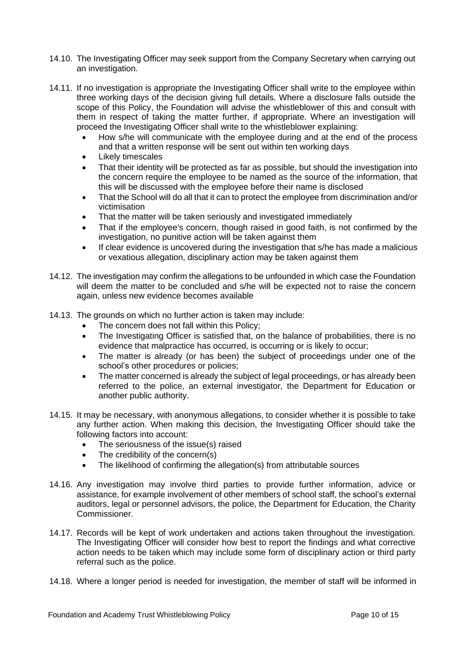- 14.10. The Investigating Officer may seek support from the Company Secretary when carrying out an investigation.
- 14.11. If no investigation is appropriate the Investigating Officer shall write to the employee within three working days of the decision giving full details. Where a disclosure falls outside the scope of this Policy, the Foundation will advise the whistleblower of this and consult with them in respect of taking the matter further, if appropriate. Where an investigation will proceed the Investigating Officer shall write to the whistleblower explaining:
	- How s/he will communicate with the employee during and at the end of the process and that a written response will be sent out within ten working days
	- Likely timescales
	- That their identity will be protected as far as possible, but should the investigation into the concern require the employee to be named as the source of the information, that this will be discussed with the employee before their name is disclosed
	- That the School will do all that it can to protect the employee from discrimination and/or victimisation
	- That the matter will be taken seriously and investigated immediately
	- That if the employee's concern, though raised in good faith, is not confirmed by the investigation, no punitive action will be taken against them
	- If clear evidence is uncovered during the investigation that s/he has made a malicious or vexatious allegation, disciplinary action may be taken against them
- 14.12. The investigation may confirm the allegations to be unfounded in which case the Foundation will deem the matter to be concluded and s/he will be expected not to raise the concern again, unless new evidence becomes available
- 14.13. The grounds on which no further action is taken may include:
	- The concern does not fall within this Policy;
	- The Investigating Officer is satisfied that, on the balance of probabilities, there is no evidence that malpractice has occurred, is occurring or is likely to occur;
	- The matter is already (or has been) the subject of proceedings under one of the school's other procedures or policies;
	- The matter concerned is already the subject of legal proceedings, or has already been referred to the police, an external investigator, the Department for Education or another public authority.
- 14.15. It may be necessary, with anonymous allegations, to consider whether it is possible to take any further action. When making this decision, the Investigating Officer should take the following factors into account:
	- The seriousness of the issue(s) raised
	- The credibility of the concern(s)
	- The likelihood of confirming the allegation(s) from attributable sources
- 14.16. Any investigation may involve third parties to provide further information, advice or assistance, for example involvement of other members of school staff, the school's external auditors, legal or personnel advisors, the police, the Department for Education, the Charity Commissioner.
- 14.17. Records will be kept of work undertaken and actions taken throughout the investigation. The Investigating Officer will consider how best to report the findings and what corrective action needs to be taken which may include some form of disciplinary action or third party referral such as the police.
- 14.18. Where a longer period is needed for investigation, the member of staff will be informed in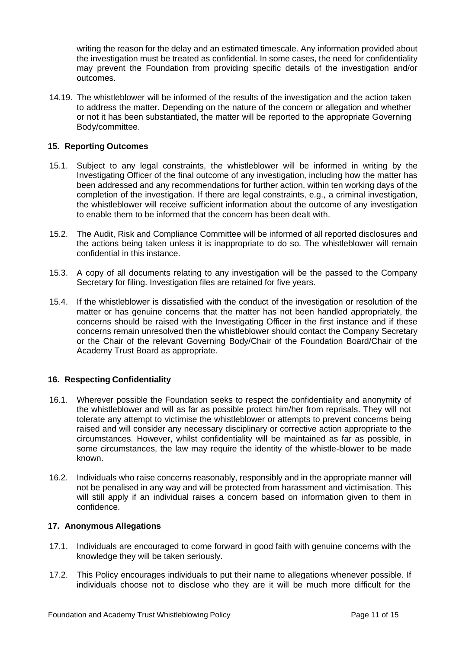writing the reason for the delay and an estimated timescale. Any information provided about the investigation must be treated as confidential. In some cases, the need for confidentiality may prevent the Foundation from providing specific details of the investigation and/or outcomes.

14.19. The whistleblower will be informed of the results of the investigation and the action taken to address the matter. Depending on the nature of the concern or allegation and whether or not it has been substantiated, the matter will be reported to the appropriate Governing Body/committee.

#### <span id="page-10-0"></span>**15. Reporting Outcomes**

- 15.1. Subject to any legal constraints, the whistleblower will be informed in writing by the Investigating Officer of the final outcome of any investigation, including how the matter has been addressed and any recommendations for further action, within ten working days of the completion of the investigation. If there are legal constraints, e.g., a criminal investigation, the whistleblower will receive sufficient information about the outcome of any investigation to enable them to be informed that the concern has been dealt with.
- 15.2. The Audit, Risk and Compliance Committee will be informed of all reported disclosures and the actions being taken unless it is inappropriate to do so. The whistleblower will remain confidential in this instance.
- 15.3. A copy of all documents relating to any investigation will be the passed to the Company Secretary for filing. Investigation files are retained for five years.
- 15.4. If the whistleblower is dissatisfied with the conduct of the investigation or resolution of the matter or has genuine concerns that the matter has not been handled appropriately, the concerns should be raised with the Investigating Officer in the first instance and if these concerns remain unresolved then the whistleblower should contact the Company Secretary or the Chair of the relevant Governing Body/Chair of the Foundation Board/Chair of the Academy Trust Board as appropriate.

#### <span id="page-10-1"></span>**16. Respecting Confidentiality**

- 16.1. Wherever possible the Foundation seeks to respect the confidentiality and anonymity of the whistleblower and will as far as possible protect him/her from reprisals. They will not tolerate any attempt to victimise the whistleblower or attempts to prevent concerns being raised and will consider any necessary disciplinary or corrective action appropriate to the circumstances. However, whilst confidentiality will be maintained as far as possible, in some circumstances, the law may require the identity of the whistle-blower to be made known.
- 16.2. Individuals who raise concerns reasonably, responsibly and in the appropriate manner will not be penalised in any way and will be protected from harassment and victimisation. This will still apply if an individual raises a concern based on information given to them in confidence.

#### <span id="page-10-2"></span>**17. Anonymous Allegations**

- 17.1. Individuals are encouraged to come forward in good faith with genuine concerns with the knowledge they will be taken seriously.
- 17.2. This Policy encourages individuals to put their name to allegations whenever possible. If individuals choose not to disclose who they are it will be much more difficult for the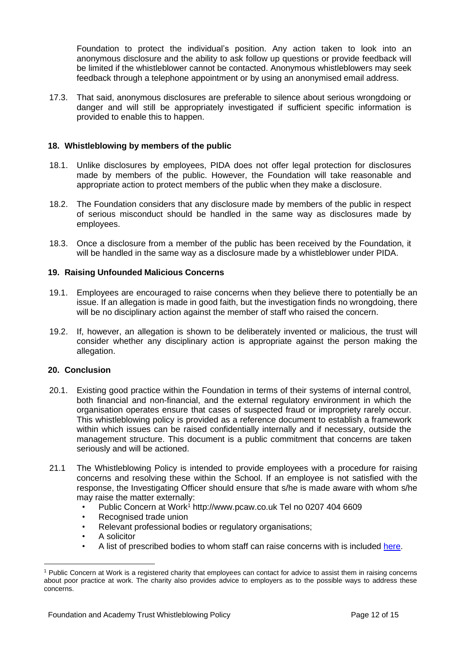Foundation to protect the individual's position. Any action taken to look into an anonymous disclosure and the ability to ask follow up questions or provide feedback will be limited if the whistleblower cannot be contacted. Anonymous whistleblowers may seek feedback through a telephone appointment or by using an anonymised email address.

17.3. That said, anonymous disclosures are preferable to silence about serious wrongdoing or danger and will still be appropriately investigated if sufficient specific information is provided to enable this to happen.

#### <span id="page-11-0"></span>**18. Whistleblowing by members of the public**

- 18.1. Unlike disclosures by employees, PIDA does not offer legal protection for disclosures made by members of the public. However, the Foundation will take reasonable and appropriate action to protect members of the public when they make a disclosure.
- 18.2. The Foundation considers that any disclosure made by members of the public in respect of serious misconduct should be handled in the same way as disclosures made by employees.
- 18.3. Once a disclosure from a member of the public has been received by the Foundation, it will be handled in the same way as a disclosure made by a whistleblower under PIDA.

#### <span id="page-11-1"></span>**19. Raising Unfounded Malicious Concerns**

- 19.1. Employees are encouraged to raise concerns when they believe there to potentially be an issue. If an allegation is made in good faith, but the investigation finds no wrongdoing, there will be no disciplinary action against the member of staff who raised the concern.
- 19.2. If, however, an allegation is shown to be deliberately invented or malicious, the trust will consider whether any disciplinary action is appropriate against the person making the allegation.

#### <span id="page-11-2"></span>**20. Conclusion**

- 20.1. Existing good practice within the Foundation in terms of their systems of internal control, both financial and non-financial, and the external regulatory environment in which the organisation operates ensure that cases of suspected fraud or impropriety rarely occur. This whistleblowing policy is provided as a reference document to establish a framework within which issues can be raised confidentially internally and if necessary, outside the management structure. This document is a public commitment that concerns are taken seriously and will be actioned.
- 21.1 The Whistleblowing Policy is intended to provide employees with a procedure for raising concerns and resolving these within the School. If an employee is not satisfied with the response, the Investigating Officer should ensure that s/he is made aware with whom s/he may raise the matter externally:
	- Public Concern at Wor[k](#page-11-3)<sup>1</sup> [http://www.pcaw.co.uk](http://www.pcaw.co.uk/) Tel no 0207 404 6609
	- Recognised trade union
	- Relevant professional bodies or regulatory organisations;
	- A solicitor
	- A list of prescribed bodies to whom staff can raise concerns with is included [here.](https://www.gov.uk/government/publications/blowing-the-whistle-list-of-prescribed-people-and-bodies--2/whistleblowing-list-of-prescribed-people-and-bodies#education)

<span id="page-11-3"></span><sup>1</sup> Public Concern at Work is a registered charity that employees can contact for advice to assist them in raising concerns about poor practice at work. The charity also provides advice to employers as to the possible ways to address these concerns.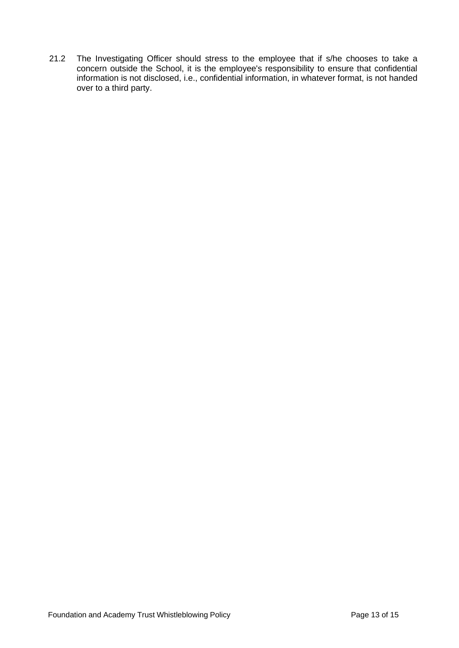21.2 The Investigating Officer should stress to the employee that if s/he chooses to take a concern outside the School, it is the employee's responsibility to ensure that confidential information is not disclosed, i.e., confidential information, in whatever format, is not handed over to a third party.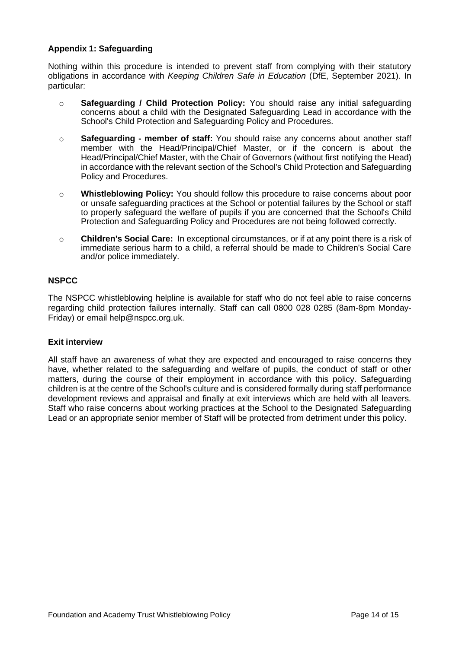#### <span id="page-13-0"></span>**Appendix 1: Safeguarding**

Nothing within this procedure is intended to prevent staff from complying with their statutory obligations in accordance with *Keeping Children Safe in Education* (DfE, September 2021). In particular:

- o **Safeguarding / Child Protection Policy:** You should raise any initial safeguarding concerns about a child with the Designated Safeguarding Lead in accordance with the School's Child Protection and Safeguarding Policy and Procedures.
- o **Safeguarding - member of staff:** You should raise any concerns about another staff member with the Head/Principal/Chief Master, or if the concern is about the Head/Principal/Chief Master, with the Chair of Governors (without first notifying the Head) in accordance with the relevant section of the School's Child Protection and Safeguarding Policy and Procedures.
- o **Whistleblowing Policy:** You should follow this procedure to raise concerns about poor or unsafe safeguarding practices at the School or potential failures by the School or staff to properly safeguard the welfare of pupils if you are concerned that the School's Child Protection and Safeguarding Policy and Procedures are not being followed correctly.
- o **Children's Social Care:** In exceptional circumstances, or if at any point there is a risk of immediate serious harm to a child, a referral should be made to Children's Social Care and/or police immediately.

#### **NSPCC**

The NSPCC whistleblowing helpline is available for staff who do not feel able to raise concerns regarding child protection failures internally. Staff can call 0800 028 0285 (8am-8pm Monday-Friday) or email [help@nspcc.org.uk.](mailto:help@nspcc.org.uk)

#### **Exit interview**

All staff have an awareness of what they are expected and encouraged to raise concerns they have, whether related to the safeguarding and welfare of pupils, the conduct of staff or other matters, during the course of their employment in accordance with this policy. Safeguarding children is at the centre of the School's culture and is considered formally during staff performance development reviews and appraisal and finally at exit interviews which are held with all leavers. Staff who raise concerns about working practices at the School to the Designated Safeguarding Lead or an appropriate senior member of Staff will be protected from detriment under this policy.